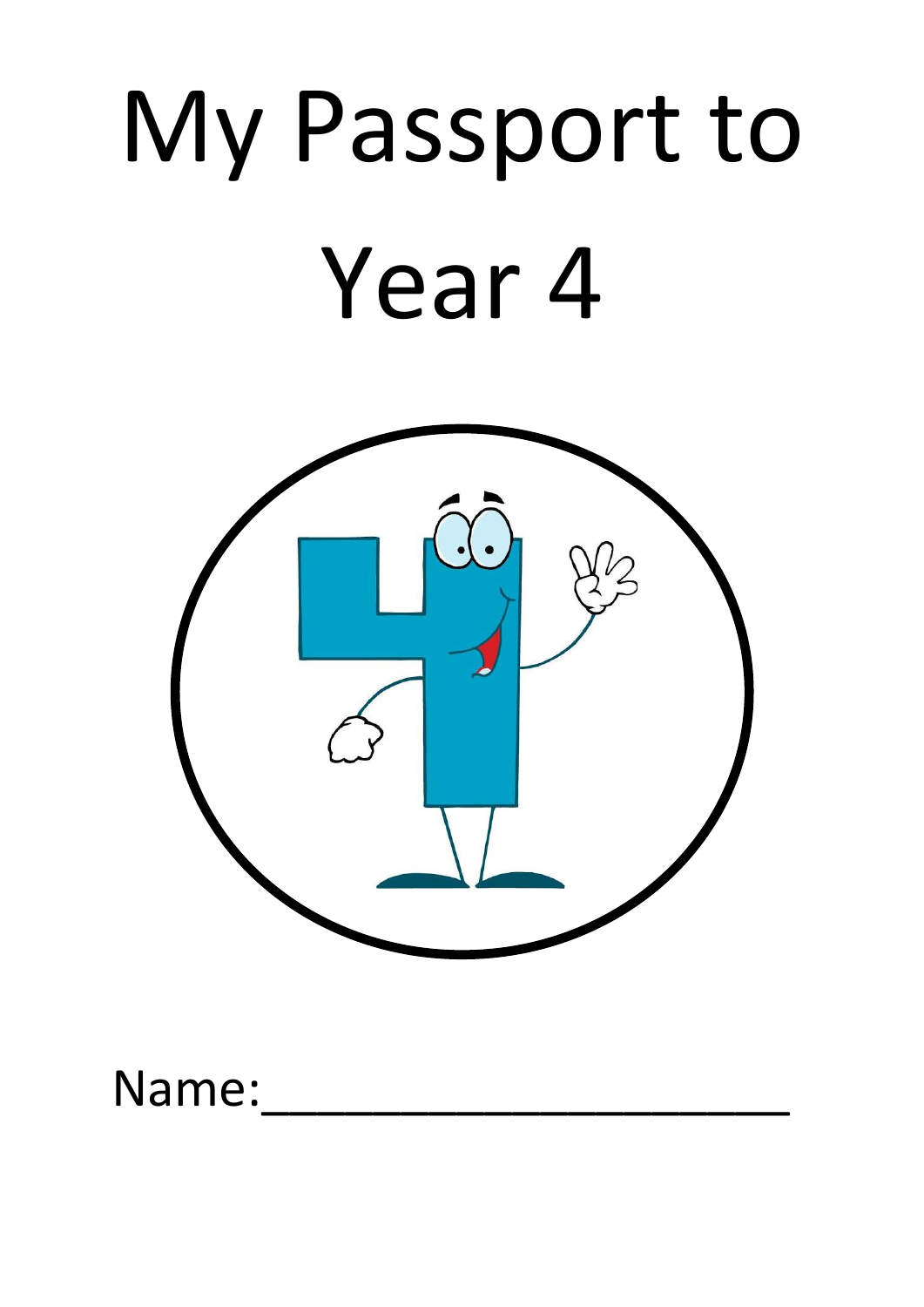# My Passport to Year 4



Name: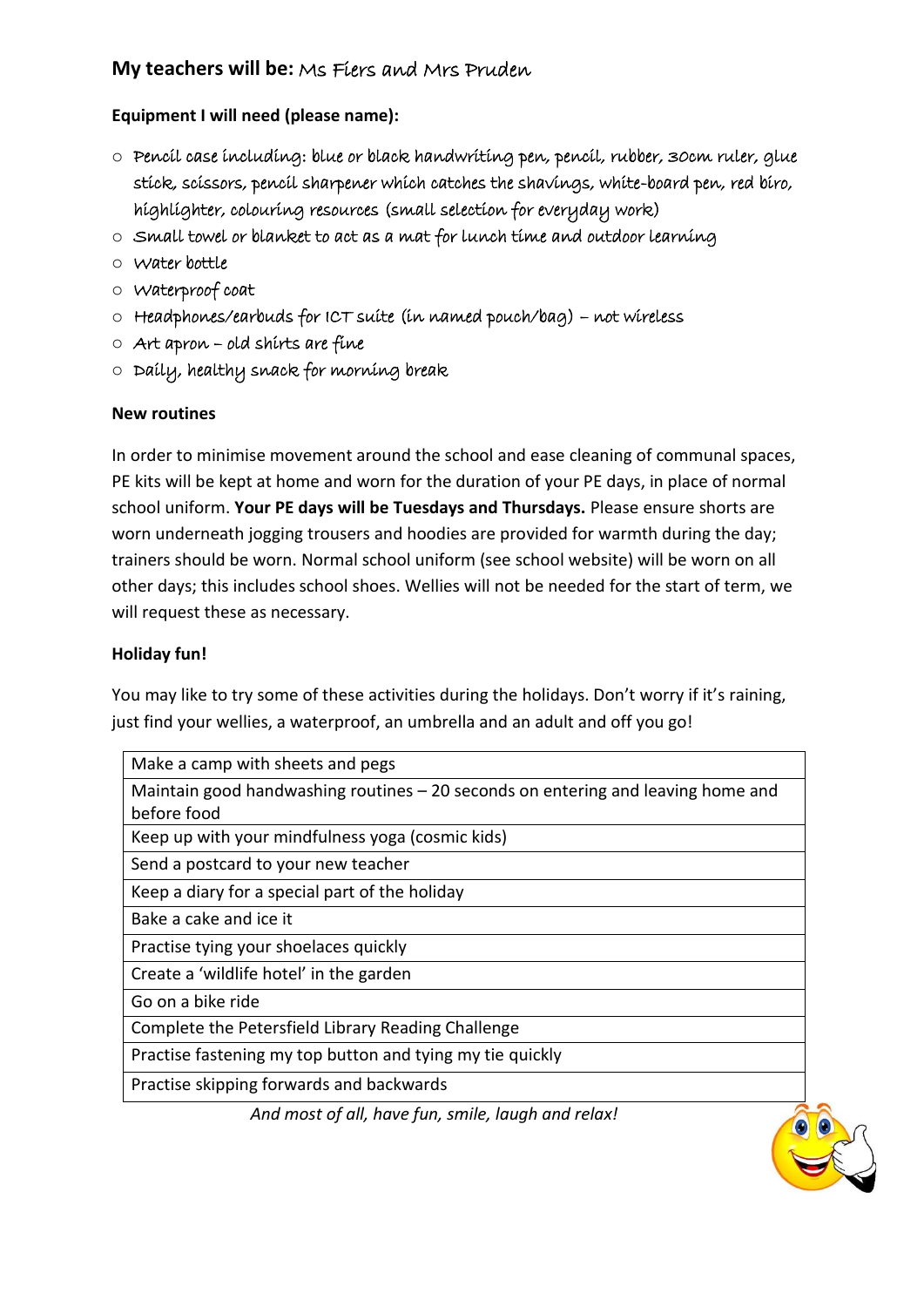#### **My teachers will be:** Ms Fiers and Mrs Pruden

**Equipment I will need (please name):**

- o Pencil case including: blue or black handwriting pen, pencil, rubber, 30cm ruler, glue stick, scissors, pencil sharpener which catches the shavings, white-board pen, red biro, highlighter, colouring resources (small selection for everyday work)
- o Small towel or blanket to act as a mat for lunch time and outdoor learning
- o Water bottle
- o Waterproof coat
- o Headphones/earbuds for ICT suite (in named pouch/bag) not wireless
- o Art apron old shirts are fine
- o Daily, healthy snack for morning break

#### **New routines**

In order to minimise movement around the school and ease cleaning of communal spaces, PE kits will be kept at home and worn for the duration of your PE days, in place of normal school uniform. **Your PE days will be Tuesdays and Thursdays.** Please ensure shorts are worn underneath jogging trousers and hoodies are provided for warmth during the day; trainers should be worn. Normal school uniform (see school website) will be worn on all other days; this includes school shoes. Wellies will not be needed for the start of term, we will request these as necessary.

#### **Holiday fun!**

You may like to try some of these activities during the holidays. Don't worry if it's raining, just find your wellies, a waterproof, an umbrella and an adult and off you go!

| Make a camp with sheets and pegs                                                 |
|----------------------------------------------------------------------------------|
| Maintain good handwashing routines – 20 seconds on entering and leaving home and |
| before food                                                                      |
| Keep up with your mindfulness yoga (cosmic kids)                                 |
| Send a postcard to your new teacher                                              |
| Keep a diary for a special part of the holiday                                   |
| Bake a cake and ice it                                                           |
| Practise tying your shoelaces quickly                                            |
| Create a 'wildlife hotel' in the garden                                          |
| Go on a bike ride                                                                |
| Complete the Petersfield Library Reading Challenge                               |
| Practise fastening my top button and tying my tie quickly                        |
| Practise skipping forwards and backwards                                         |
| And most of all, have fun, smile, laugh and relax!                               |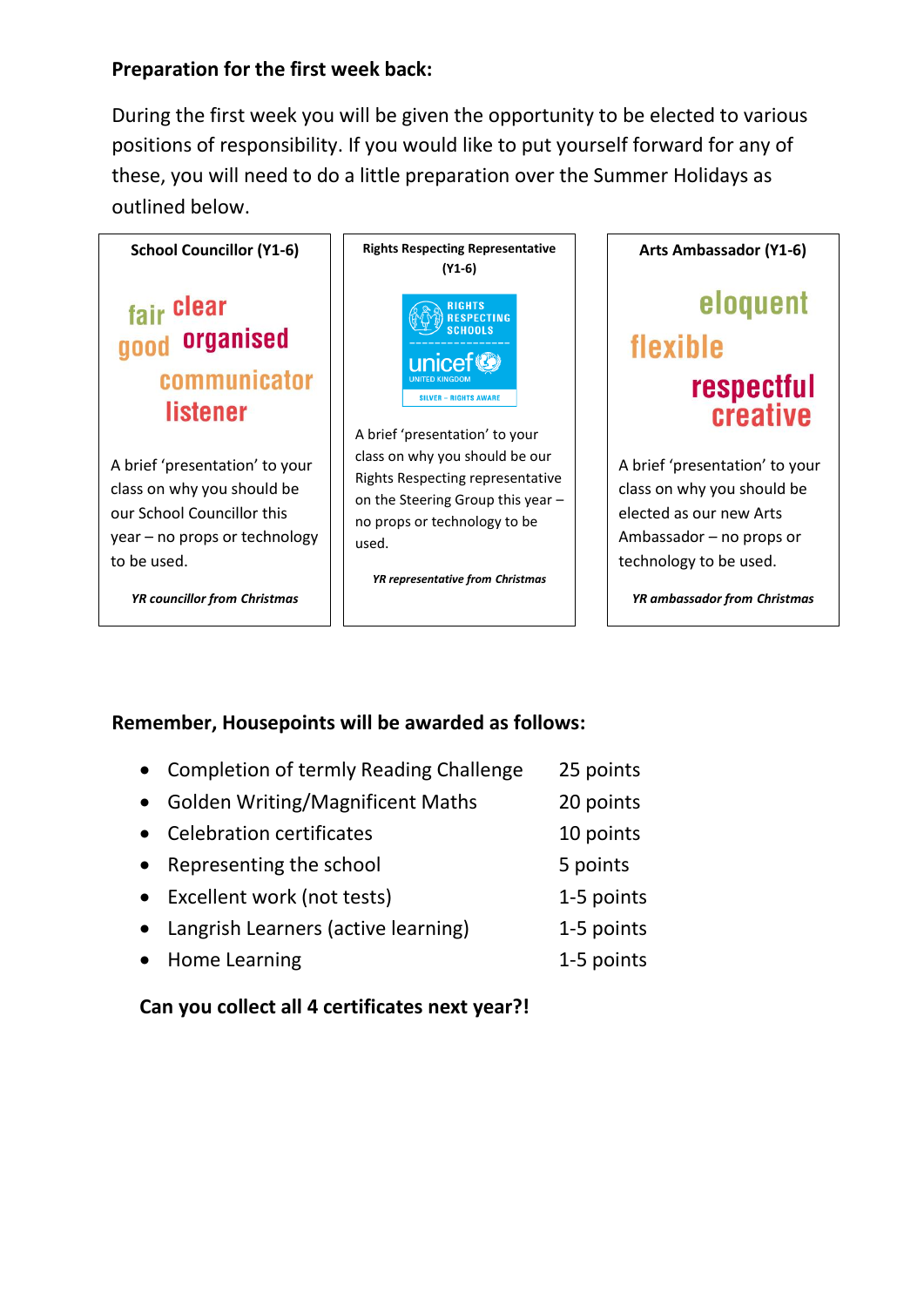### **Preparation for the first week back:**

During the first week you will be given the opportunity to be elected to various positions of responsibility. If you would like to put yourself forward for any of these, you will need to do a little preparation over the Summer Holidays as outlined below.



# **Remember, Housepoints will be awarded as follows:**

- Completion of termly Reading Challenge 25 points
- Golden Writing/Magnificent Maths 20 points
- Celebration certificates 10 points
- Representing the school 5 points
- Excellent work (not tests) 1-5 points
- Langrish Learners (active learning) 1-5 points
- Home Learning 1-5 points

# **Can you collect all 4 certificates next year?!**